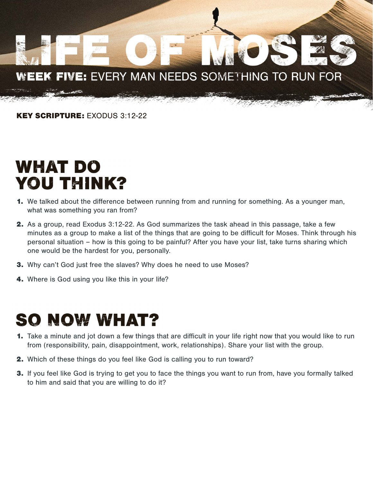# WEEK FIVE: EVERY MAN NEEDS SOMETHING TO RUN FOR

KEY SCRIPTURE: EXODUS 3:12-22

#### WHAT DO **YOU THINK?**

- 1. We talked about the difference between running from and running for something. As a younger man, what was something you ran from?
- 2. As a group, read Exodus 3:12-22. As God summarizes the task ahead in this passage, take a few minutes as a group to make a list of the things that are going to be difficult for Moses. Think through his personal situation – how is this going to be painful? After you have your list, take turns sharing which one would be the hardest for you, personally.
- 3. Why can't God just free the slaves? Why does he need to use Moses?
- 4. Where is God using you like this in your life?

#### **SO NOW WHAT?**

- 1. Take a minute and jot down a few things that are difficult in your life right now that you would like to run from (responsibility, pain, disappointment, work, relationships). Share your list with the group.
- 2. Which of these things do you feel like God is calling you to run toward?
- 3. If you feel like God is trying to get you to face the things you want to run from, have you formally talked to him and said that you are willing to do it?